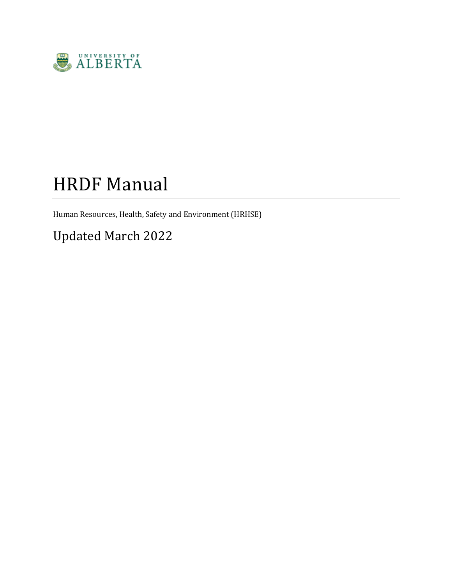

# HRDF Manual

Human Resources, Health, Safety and Environment (HRHSE)

Updated March 2022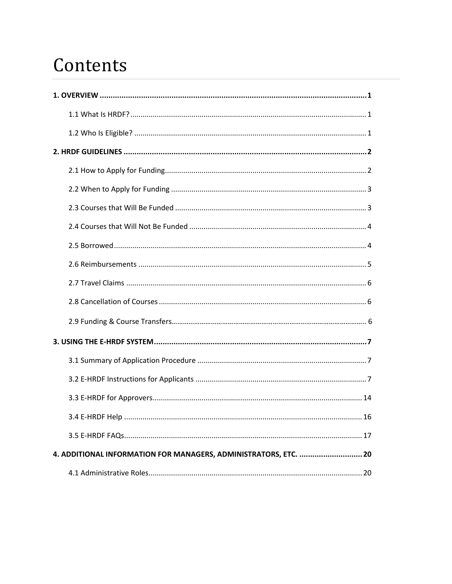# Contents

| 3.4 E-HRDF Help.<br>16                                           |
|------------------------------------------------------------------|
|                                                                  |
| 4. ADDITIONAL INFORMATION FOR MANAGERS, ADMINISTRATORS, ETC.  20 |
|                                                                  |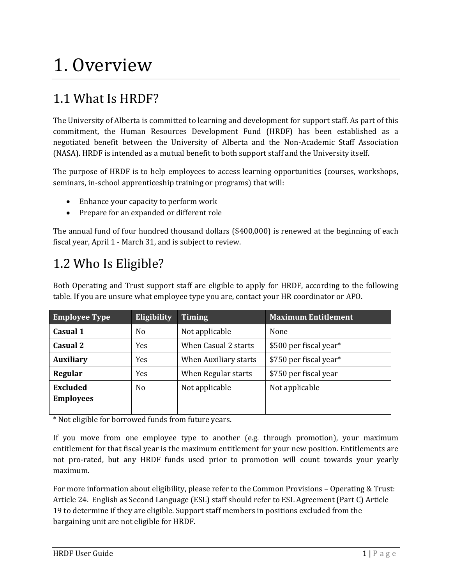# <span id="page-2-0"></span>1. Overview

## <span id="page-2-1"></span>1.1 What Is HRDF?

The University of Alberta is committed to learning and development for support staff. As part of this commitment, the Human Resources Development Fund (HRDF) has been established as a negotiated benefit between the University of Alberta and the Non-Academic Staff Association (NASA). HRDF is intended as a mutual benefit to both support staff and the University itself.

The purpose of HRDF is to help employees to access learning opportunities (courses, workshops, seminars, in-school apprenticeship training or programs) that will:

- Enhance your capacity to perform work
- Prepare for an expanded or different role

The annual fund of four hundred thousand dollars (\$400,000) is renewed at the beginning of each fiscal year, April 1 - March 31, and is subject to review.

## <span id="page-2-2"></span>1.2 Who Is Eligible?

Both Operating and Trust support staff are eligible to apply for HRDF, according to the following table. If you are unsure what employee type you are, contact your HR coordinator or APO.

| <b>Employee Type</b> | <b>Eligibility</b> | <b>Timing</b>         | <b>Maximum Entitlement</b> |
|----------------------|--------------------|-----------------------|----------------------------|
| Casual 1             | N <sub>0</sub>     | Not applicable        | None                       |
| Casual 2             | Yes                | When Casual 2 starts  | \$500 per fiscal year*     |
| <b>Auxiliary</b>     | Yes                | When Auxiliary starts | \$750 per fiscal year*     |
| Regular              | Yes                | When Regular starts   | \$750 per fiscal year      |
| Excluded             | N <sub>0</sub>     | Not applicable        | Not applicable             |
| <b>Employees</b>     |                    |                       |                            |
|                      |                    |                       |                            |

\* Not eligible for borrowed funds from future years.

If you move from one employee type to another (e.g. through promotion), your maximum entitlement for that fiscal year is the maximum entitlement for your new position. Entitlements are not pro-rated, but any HRDF funds used prior to promotion will count towards your yearly maximum.

For more information about eligibility, please refer to the Common Provisions – Operating & Trust: Article 24. English as Second Language (ESL) staff should refer to ESL Agreement (Part C) Article 19 to determine if they are eligible. Support staff members in positions excluded from the bargaining unit are not eligible for HRDF.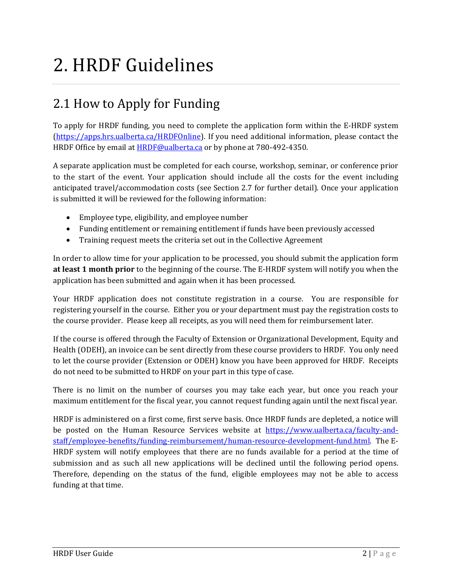# 2. HRDF Guidelines

# <span id="page-3-1"></span><span id="page-3-0"></span>2.1 How to Apply for Funding

To apply for HRDF funding, you need to complete the application form within the E-HRDF system [\(https://apps.hrs.ualberta.ca/HRDFOnline\)](https://apps.hrs.ualberta.ca/HRDFOnline). If you need additional information, please contact the HRDF Office by email at **[HRDF@ualberta.ca](mailto:HRDF@ualberta.ca)** or by phone at 780-492-4350.

A separate application must be completed for each course, workshop, seminar, or conference prior to the start of the event. Your application should include all the costs for the event including anticipated travel/accommodation costs (see Section 2.7 for further detail). Once your application is submitted it will be reviewed for the following information:

- Employee type, eligibility, and employee number
- Funding entitlement or remaining entitlement if funds have been previously accessed
- Training request meets the criteria set out in the Collective Agreement

In order to allow time for your application to be processed, you should submit the application form **at least 1 month prior** to the beginning of the course. The E-HRDF system will notify you when the application has been submitted and again when it has been processed.

Your HRDF application does not constitute registration in a course. You are responsible for registering yourself in the course. Either you or your department must pay the registration costs to the course provider. Please keep all receipts, as you will need them for reimbursement later.

If the course is offered through the Faculty of Extension or Organizational Development, Equity and Health (ODEH), an invoice can be sent directly from these course providers to HRDF. You only need to let the course provider (Extension or ODEH) know you have been approved for HRDF. Receipts do not need to be submitted to HRDF on your part in this type of case.

There is no limit on the number of courses you may take each year, but once you reach your maximum entitlement for the fiscal year, you cannot request funding again until the next fiscal year.

HRDF is administered on a first come, first serve basis. Once HRDF funds are depleted, a notice will be posted on the Human Resource Services website at [https://www.ualberta.ca/faculty-and](https://www.ualberta.ca/faculty-and-staff/employee-benefits/funding-reimbursement/human-resource-development-fund.html)[staff/employee-benefits/funding-reimbursement/human-resource-development-fund.html.](https://www.ualberta.ca/faculty-and-staff/employee-benefits/funding-reimbursement/human-resource-development-fund.html) The E-HRDF system will notify employees that there are no funds available for a period at the time of submission and as such all new applications will be declined until the following period opens. Therefore, depending on the status of the fund, eligible employees may not be able to access funding at that time.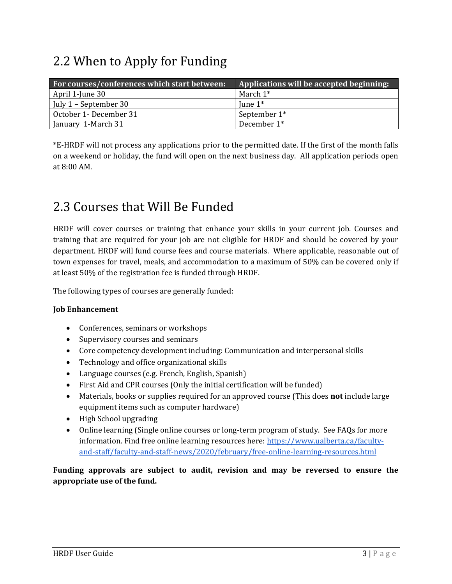## <span id="page-4-0"></span>2.2 When to Apply for Funding

| For courses/conferences which start between: | Applications will be accepted beginning: |
|----------------------------------------------|------------------------------------------|
| April 1-June 30                              | March $1^*$                              |
| July 1 – September 30                        | June $1^*$                               |
| October 1- December 31                       | September 1*                             |
| January 1-March 31                           | December 1*                              |

\*E-HRDF will not process any applications prior to the permitted date. If the first of the month falls on a weekend or holiday, the fund will open on the next business day. All application periods open at 8:00 AM.

## <span id="page-4-1"></span>2.3 Courses that Will Be Funded

HRDF will cover courses or training that enhance your skills in your current job. Courses and training that are required for your job are not eligible for HRDF and should be covered by your department. HRDF will fund course fees and course materials. Where applicable, reasonable out of town expenses for travel, meals, and accommodation to a maximum of 50% can be covered only if at least 50% of the registration fee is funded through HRDF.

The following types of courses are generally funded:

#### **Job Enhancement**

- Conferences, seminars or workshops
- Supervisory courses and seminars
- Core competency development including: Communication and interpersonal skills
- Technology and office organizational skills
- Language courses (e.g. French, English, Spanish)
- First Aid and CPR courses (Only the initial certification will be funded)
- Materials, books or supplies required for an approved course (This does **not** include large equipment items such as computer hardware)
- High School upgrading
- Online learning (Single online courses or long-term program of study. See FAQs for more information. Find free online learning resources here: [https://www.ualberta.ca/faculty](https://www.ualberta.ca/faculty-and-staff/faculty-and-staff-news/2020/february/free-online-learning-resources.html)[and-staff/faculty-and-staff-news/2020/february/free-online-learning-resources.html](https://www.ualberta.ca/faculty-and-staff/faculty-and-staff-news/2020/february/free-online-learning-resources.html)

#### <span id="page-4-2"></span>**Funding approvals are subject to audit, revision and may be reversed to ensure the appropriate use of the fund.**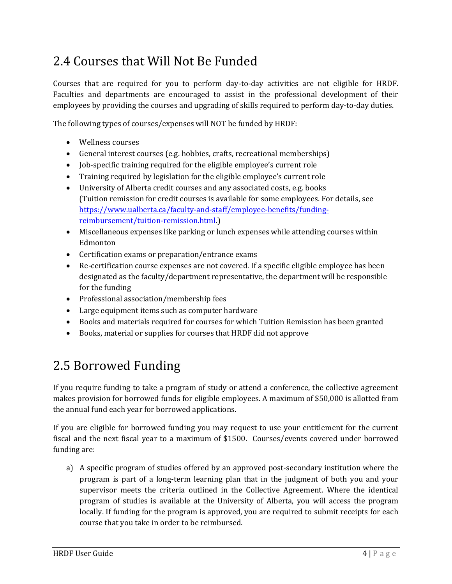# 2.4 Courses that Will Not Be Funded

Courses that are required for you to perform day-to-day activities are not eligible for HRDF. Faculties and departments are encouraged to assist in the professional development of their employees by providing the courses and upgrading of skills required to perform day-to-day duties.

The following types of courses/expenses will NOT be funded by HRDF:

- Wellness courses
- General interest courses (e.g. hobbies, crafts, recreational memberships)
- Job-specific training required for the eligible employee's current role
- Training required by legislation for the eligible employee's current role
- University of Alberta credit courses and any associated costs, e.g. books (Tuition remission for credit courses is available for some employees. For details, see [https://www.ualberta.ca/faculty-and-staff/employee-benefits/funding](https://www.ualberta.ca/faculty-and-staff/employee-benefits/funding-reimbursement/tuition-remission.html)[reimbursement/tuition-remission.html.\)](https://www.ualberta.ca/faculty-and-staff/employee-benefits/funding-reimbursement/tuition-remission.html)
- Miscellaneous expenses like parking or lunch expenses while attending courses within Edmonton
- Certification exams or preparation/entrance exams
- Re-certification course expenses are not covered. If a specific eligible employee has been designated as the faculty/department representative, the department will be responsible for the funding
- Professional association/membership fees
- Large equipment items such as computer hardware
- Books and materials required for courses for which Tuition Remission has been granted
- Books, material or supplies for courses that HRDF did not approve

## <span id="page-5-0"></span>2.5 Borrowed Funding

If you require funding to take a program of study or attend a conference, the collective agreement makes provision for borrowed funds for eligible employees. A maximum of \$50,000 is allotted from the annual fund each year for borrowed applications.

If you are eligible for borrowed funding you may request to use your entitlement for the current fiscal and the next fiscal year to a maximum of \$1500. Courses/events covered under borrowed funding are:

a) A specific program of studies offered by an approved post-secondary institution where the program is part of a long-term learning plan that in the judgment of both you and your supervisor meets the criteria outlined in the Collective Agreement. Where the identical program of studies is available at the University of Alberta, you will access the program locally. If funding for the program is approved, you are required to submit receipts for each course that you take in order to be reimbursed.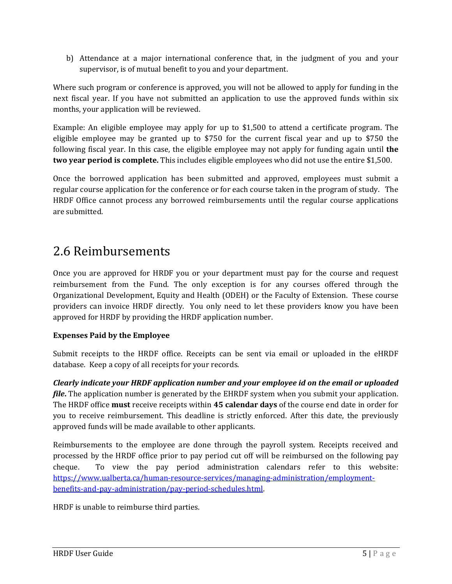b) Attendance at a major international conference that, in the judgment of you and your supervisor, is of mutual benefit to you and your department.

Where such program or conference is approved, you will not be allowed to apply for funding in the next fiscal year. If you have not submitted an application to use the approved funds within six months, your application will be reviewed.

Example: An eligible employee may apply for up to \$1,500 to attend a certificate program. The eligible employee may be granted up to \$750 for the current fiscal year and up to \$750 the following fiscal year. In this case, the eligible employee may not apply for funding again until **the two year period is complete.** This includes eligible employees who did not use the entire \$1,500.

Once the borrowed application has been submitted and approved, employees must submit a regular course application for the conference or for each course taken in the program of study. The HRDF Office cannot process any borrowed reimbursements until the regular course applications are submitted.

### <span id="page-6-0"></span>2.6 Reimbursements

Once you are approved for HRDF you or your department must pay for the course and request reimbursement from the Fund. The only exception is for any courses offered through the Organizational Development, Equity and Health (ODEH) or the Faculty of Extension. These course providers can invoice HRDF directly. You only need to let these providers know you have been approved for HRDF by providing the HRDF application number.

#### **Expenses Paid by the Employee**

Submit receipts to the HRDF office. Receipts can be sent via email or uploaded in the eHRDF database. Keep a copy of all receipts for your records.

*Clearly indicate your HRDF application number and your employee id on the email or uploaded file***.** The application number is generated by the EHRDF system when you submit your application. The HRDF office **must** receive receipts within **45 calendar days** of the course end date in order for you to receive reimbursement. This deadline is strictly enforced. After this date, the previously approved funds will be made available to other applicants.

Reimbursements to the employee are done through the payroll system. Receipts received and processed by the HRDF office prior to pay period cut off will be reimbursed on the following pay cheque. To view the pay period administration calendars refer to this website: [https://www.ualberta.ca/human-resource-services/managing-administration/employment](https://www.ualberta.ca/human-resource-services/managing-administration/employment-benefits-and-pay-administration/pay-period-schedules.html)[benefits-and-pay-administration/pay-period-schedules.html.](https://www.ualberta.ca/human-resource-services/managing-administration/employment-benefits-and-pay-administration/pay-period-schedules.html) 

HRDF is unable to reimburse third parties.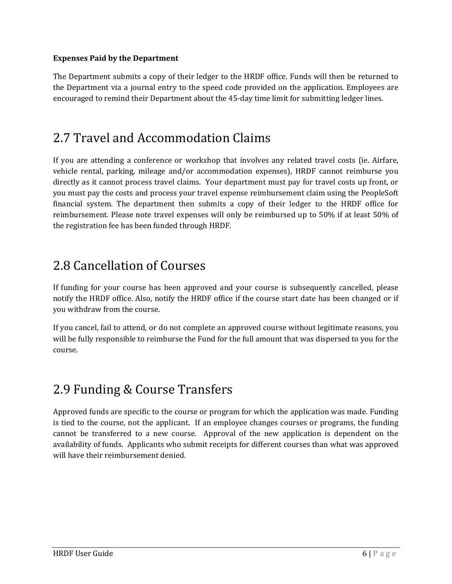#### **Expenses Paid by the Department**

The Department submits a copy of their ledger to the HRDF office. Funds will then be returned to the Department via a journal entry to the speed code provided on the application. Employees are encouraged to remind their Department about the 45-day time limit for submitting ledger lines.

### <span id="page-7-0"></span>2.7 Travel and Accommodation Claims

If you are attending a conference or workshop that involves any related travel costs (ie. Airfare, vehicle rental, parking, mileage and/or accommodation expenses), HRDF cannot reimburse you directly as it cannot process travel claims. Your department must pay for travel costs up front, or you must pay the costs and process your travel expense reimbursement claim using the PeopleSoft financial system. The department then submits a copy of their ledger to the HRDF office for reimbursement. Please note travel expenses will only be reimbursed up to 50% if at least 50% of the registration fee has been funded through HRDF.

### <span id="page-7-1"></span>2.8 Cancellation of Courses

If funding for your course has been approved and your course is subsequently cancelled, please notify the HRDF office. Also, notify the HRDF office if the course start date has been changed or if you withdraw from the course.

If you cancel, fail to attend, or do not complete an approved course without legitimate reasons, you will be fully responsible to reimburse the Fund for the full amount that was dispersed to you for the course.

### 2.9 Funding & Course Transfers

Approved funds are specific to the course or program for which the application was made. Funding is tied to the course, not the applicant. If an employee changes courses or programs, the funding cannot be transferred to a new course. Approval of the new application is dependent on the availability of funds. Applicants who submit receipts for different courses than what was approved will have their reimbursement denied.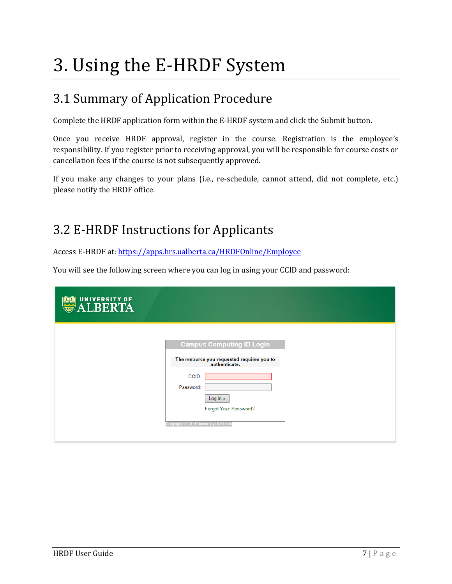# <span id="page-8-0"></span>3. Using the E-HRDF System

# <span id="page-8-1"></span>3.1 Summary of Application Procedure

Complete the HRDF application form within the E-HRDF system and click the Submit button.

Once you receive HRDF approval, register in the course. Registration is the employee's responsibility. If you register prior to receiving approval, you will be responsible for course costs or cancellation fees if the course is not subsequently approved.

If you make any changes to your plans (i.e., re-schedule, cannot attend, did not complete, etc.) please notify the HRDF office.

## <span id="page-8-2"></span>3.2 E-HRDF Instructions for Applicants

Access E-HRDF at:<https://apps.hrs.ualberta.ca/HRDFOnline/Employee>

You will see the following screen where you can log in using your CCID and password:

| <b>EN UNIVERSITY OF</b> |                                                                                                                                                                                                      |  |
|-------------------------|------------------------------------------------------------------------------------------------------------------------------------------------------------------------------------------------------|--|
|                         | <b>Campus Computing ID Login</b><br>The resource you requested requires you to<br>authenticate.<br>CCID:<br>Password:<br>Log in »<br>Forgot Your Password?<br>Copyright @ 2014 University of Alberta |  |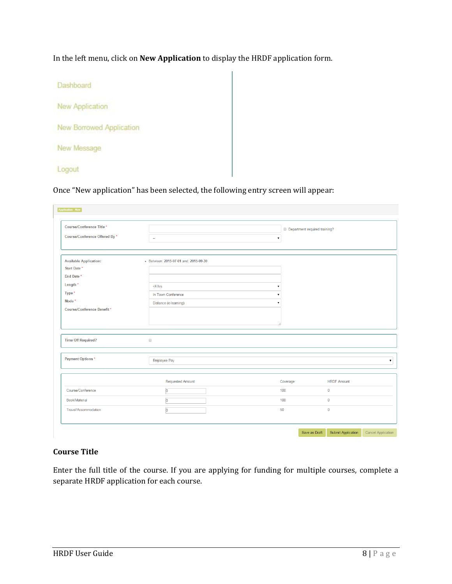In the left menu, click on **New Application** to display the HRDF application form.

| Dashboard                |  |
|--------------------------|--|
| New Application          |  |
| New Borrowed Application |  |
| New Message              |  |
| Logout                   |  |

Once "New application" has been selected, the following entry screen will appear:

| <b>Application - New</b>                                    |                                       |                    |                                      |                    |  |
|-------------------------------------------------------------|---------------------------------------|--------------------|--------------------------------------|--------------------|--|
| Course/Conference Title *<br>Course/Conference Offered By * | $\overline{\phantom{a}}$              | $\pmb{\mathrm{v}}$ | <b>Department required training?</b> |                    |  |
|                                                             |                                       |                    |                                      |                    |  |
| <b>Available Application:</b>                               | • Between: 2015-07-01 and: 2015-09-30 |                    |                                      |                    |  |
| Start Date *                                                |                                       |                    |                                      |                    |  |
| End Date*                                                   |                                       |                    |                                      |                    |  |
| Length <sup>*</sup>                                         | $<4$ hrs                              |                    |                                      |                    |  |
| Type *                                                      | In Town Conference                    |                    |                                      |                    |  |
| Mode *                                                      | Distance (e-learning)                 |                    |                                      |                    |  |
| Course/Conference Benefit*                                  |                                       |                    |                                      |                    |  |
|                                                             |                                       |                    |                                      |                    |  |
|                                                             |                                       |                    |                                      |                    |  |
| <b>Time Off Required?</b>                                   | $\Box$                                |                    |                                      |                    |  |
| Payment Options*                                            | Employee Pay                          |                    |                                      |                    |  |
|                                                             | <b>Requested Amount</b>               |                    | Coverage                             | <b>HRDF Amount</b> |  |
| Course/Conference                                           | $\overline{0}$                        |                    | 100                                  | $\mathbf{0}$       |  |
| Book/Material                                               | $\overline{0}$                        |                    | 100                                  | $\overline{0}$     |  |
| Travel/Accommodation                                        | $\overline{0}$                        |                    | 50                                   | $\mathbf{0}$       |  |
|                                                             |                                       |                    |                                      |                    |  |
|                                                             |                                       |                    |                                      |                    |  |

#### **Course Title**

Enter the full title of the course. If you are applying for funding for multiple courses, complete a separate HRDF application for each course.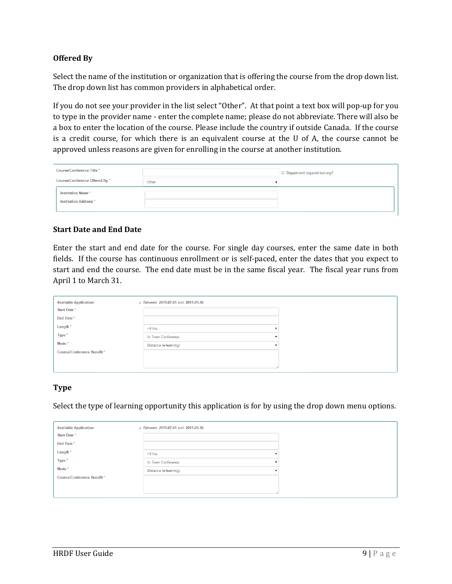#### **Offered By**

Select the name of the institution or organization that is offering the course from the drop down list. The drop down list has common providers in alphabetical order.

If you do not see your provider in the list select "Other". At that point a text box will pop-up for you to type in the provider name - enter the complete name; please do not abbreviate. There will also be a box to enter the location of the course. Please include the country if outside Canada. If the course is a credit course, for which there is an equivalent course at the U of A, the course cannot be approved unless reasons are given for enrolling in the course at another institution.

| Course/Conference Title*                         |       | <b>Department required training?</b> |
|--------------------------------------------------|-------|--------------------------------------|
| Course/Conference Offered By *                   | Other |                                      |
| Institution Name*<br><b>Institution Address*</b> |       |                                      |

#### **Start Date and End Date**

Enter the start and end date for the course. For single day courses, enter the same date in both fields. If the course has continuous enrollment or is self-paced, enter the dates that you expect to start and end the course. The end date must be in the same fiscal year. The fiscal year runs from April 1 to March 31.

| <b>Available Application:</b>     | • Between: 2015-07-01 and: 2015-09-30 |  |
|-----------------------------------|---------------------------------------|--|
| Start Date *                      |                                       |  |
| End Date*                         |                                       |  |
| Length <sup>*</sup>               | $<$ 4 hrs                             |  |
| Type*                             | In Town Conference                    |  |
| Mode *                            | Distance (e-learning)                 |  |
| <b>Course/Conference Benefit*</b> |                                       |  |
|                                   |                                       |  |
|                                   |                                       |  |

#### **Type**

Select the type of learning opportunity this application is for by using the drop down menu options.

| <b>Available Application:</b> | • Between: 2015-07-01 and: 2015-09-30 |  |
|-------------------------------|---------------------------------------|--|
| Start Date *                  |                                       |  |
| End Date*                     |                                       |  |
| Length <sup>*</sup>           | $<$ 4 hrs                             |  |
| Type*                         | In Town Conference                    |  |
| Mode *                        | Distance (e-learning)                 |  |
| Course/Conference Benefit*    |                                       |  |
|                               |                                       |  |
|                               |                                       |  |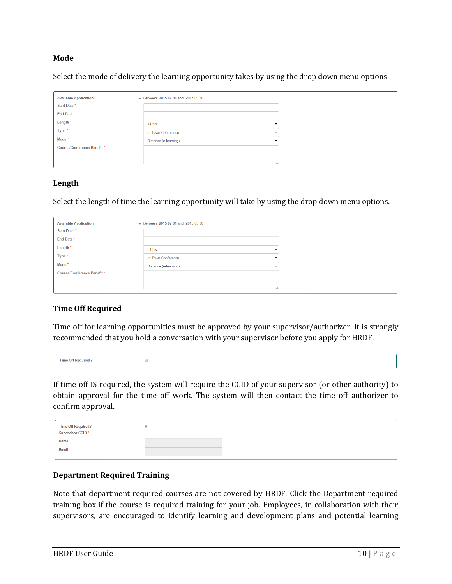#### **Mode**

Select the mode of delivery the learning opportunity takes by using the drop down menu options

| <b>Available Application:</b>     | • Between: 2015-07-01 and: 2015-09-30 |
|-----------------------------------|---------------------------------------|
| Start Date *                      |                                       |
| End Date *                        |                                       |
| Length <sup>*</sup>               | $<$ 4 hrs                             |
| Type*                             | In Town Conference                    |
| Mode *                            | Distance (e-learning)                 |
| <b>Course/Conference Benefit*</b> |                                       |
|                                   |                                       |
|                                   |                                       |

#### **Length**

Select the length of time the learning opportunity will take by using the drop down menu options.

| <b>Available Application:</b> | • Between: 2015-07-01 and: 2015-09-30 |
|-------------------------------|---------------------------------------|
| Start Date *                  |                                       |
| End Date*                     |                                       |
| Length <sup>*</sup>           | $<$ 4 hrs                             |
| Type *                        | In Town Conference                    |
| Mode *                        | Distance (e-learning)                 |
| Course/Conference Benefit*    |                                       |
|                               |                                       |
|                               |                                       |

#### **Time Off Required**

Time off for learning opportunities must be approved by your supervisor/authorizer. It is strongly recommended that you hold a conversation with your supervisor before you apply for HRDF.

| Time Off Required?<br>the contract of the contract of the contract of the contract of the contract of the contract of the contract of |  |
|---------------------------------------------------------------------------------------------------------------------------------------|--|
|---------------------------------------------------------------------------------------------------------------------------------------|--|

If time off IS required, the system will require the CCID of your supervisor (or other authority) to obtain approval for the time off work. The system will then contact the time off authorizer to confirm approval.

| <b>Name</b><br>Email | Time Off Required?<br>Supervisor CCID* |  |  |
|----------------------|----------------------------------------|--|--|
|                      |                                        |  |  |
|                      |                                        |  |  |
|                      |                                        |  |  |

#### **Department Required Training**

Note that department required courses are not covered by HRDF. Click the Department required training box if the course is required training for your job. Employees, in collaboration with their supervisors, are encouraged to identify learning and development plans and potential learning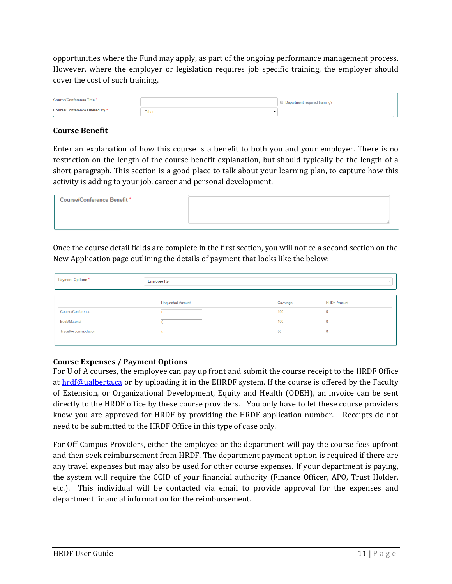opportunities where the Fund may apply, as part of the ongoing performance management process. However, where the employer or legislation requires job specific training, the employer should cover the cost of such training.

| Course/Conference Title *      |       | Department required training? |
|--------------------------------|-------|-------------------------------|
| Course/Conference Offered By * | Other |                               |

#### **Course Benefit**

Enter an explanation of how this course is a benefit to both you and your employer. There is no restriction on the length of the course benefit explanation, but should typically be the length of a short paragraph. This section is a good place to talk about your learning plan, to capture how this activity is adding to your job, career and personal development.

| Course/Conference Benefit* |  |
|----------------------------|--|
|                            |  |

Once the course detail fields are complete in the first section, you will notice a second section on the New Application page outlining the details of payment that looks like the below:

| Payment Options*     | <b>Employee Pay</b>     |          |                    |  |  |
|----------------------|-------------------------|----------|--------------------|--|--|
|                      |                         |          | <b>HRDF Amount</b> |  |  |
|                      | <b>Requested Amount</b> | Coverage |                    |  |  |
| Course/Conference    |                         | 100      | $\Omega$           |  |  |
| Book/Material        |                         | 100      | $\mathbf{0}$       |  |  |
| Travel/Accommodation |                         | 50       | $\mathbf{0}$       |  |  |
|                      |                         |          |                    |  |  |

#### **Course Expenses / Payment Options**

For U of A courses, the employee can pay up front and submit the course receipt to the HRDF Office at [hrdf@ualberta.ca](mailto:hrdf@ualberta.ca) or by uploading it in the EHRDF system. If the course is offered by the Faculty of Extension, or Organizational Development, Equity and Health (ODEH), an invoice can be sent directly to the HRDF office by these course providers. You only have to let these course providers know you are approved for HRDF by providing the HRDF application number. Receipts do not need to be submitted to the HRDF Office in this type of case only.

For Off Campus Providers, either the employee or the department will pay the course fees upfront and then seek reimbursement from HRDF. The department payment option is required if there are any travel expenses but may also be used for other course expenses. If your department is paying, the system will require the CCID of your financial authority (Finance Officer, APO, Trust Holder, etc.). This individual will be contacted via email to provide approval for the expenses and department financial information for the reimbursement.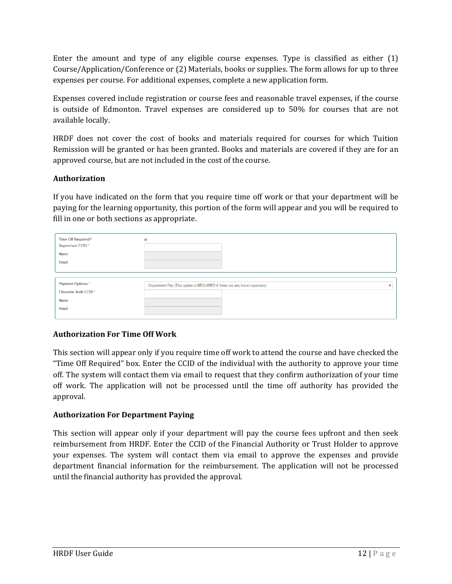Enter the amount and type of any eligible course expenses. Type is classified as either (1) Course/Application/Conference or (2) Materials, books or supplies. The form allows for up to three expenses per course. For additional expenses, complete a new application form.

Expenses covered include registration or course fees and reasonable travel expenses, if the course is outside of Edmonton. Travel expenses are considered up to 50% for courses that are not available locally.

HRDF does not cover the cost of books and materials required for courses for which Tuition Remission will be granted or has been granted. Books and materials are covered if they are for an approved course, but are not included in the cost of the course.

#### **Authorization**

If you have indicated on the form that you require time off work or that your department will be paying for the learning opportunity, this portion of the form will appear and you will be required to fill in one or both sections as appropriate.

| <b>Time Off Required?</b><br>Supervisor CCID <sup>*</sup><br><b>Name</b><br>Email | $\overline{\mathbf{v}}$                                                   |
|-----------------------------------------------------------------------------------|---------------------------------------------------------------------------|
| Payment Options*<br>Financial Auth CCID <sup>*</sup><br><b>Name</b><br>Email      | Department Pay (This option is REQUIRED if there are any travel expenses) |

#### **Authorization For Time Off Work**

This section will appear only if you require time off work to attend the course and have checked the "Time Off Required" box. Enter the CCID of the individual with the authority to approve your time off. The system will contact them via email to request that they confirm authorization of your time off work. The application will not be processed until the time off authority has provided the approval.

#### **Authorization For Department Paying**

This section will appear only if your department will pay the course fees upfront and then seek reimbursement from HRDF. Enter the CCID of the Financial Authority or Trust Holder to approve your expenses. The system will contact them via email to approve the expenses and provide department financial information for the reimbursement. The application will not be processed until the financial authority has provided the approval.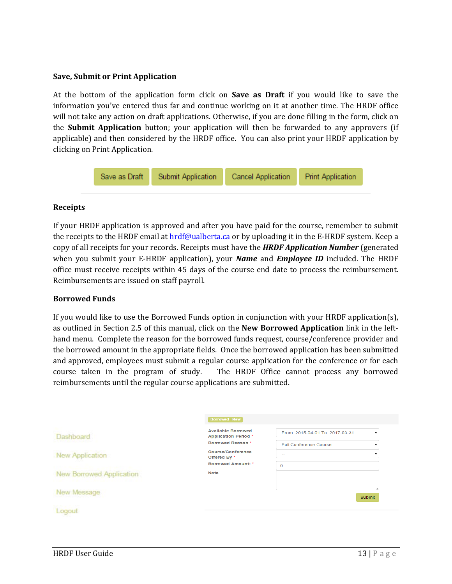#### **Save, Submit or Print Application**

At the bottom of the application form click on **Save as Draft** if you would like to save the information you've entered thus far and continue working on it at another time. The HRDF office will not take any action on draft applications. Otherwise, if you are done filling in the form, click on the **Submit Application** button; your application will then be forwarded to any approvers (if applicable) and then considered by the HRDF office. You can also print your HRDF application by clicking on Print Application.



#### **Receipts**

If your HRDF application is approved and after you have paid for the course, remember to submit the receipts to the HRDF email at [hrdf@ualberta.ca](mailto:hrdf@ualberta.ca) or by uploading it in the E-HRDF system. Keep a copy of all receipts for your records. Receipts must have the *HRDF Application Number* (generated when you submit your E-HRDF application), your *Name* and *Employee ID* included. The HRDF office must receive receipts within 45 days of the course end date to process the reimbursement. Reimbursements are issued on staff payroll.

#### **Borrowed Funds**

If you would like to use the Borrowed Funds option in conjunction with your HRDF application(s), as outlined in Section 2.5 of this manual, click on the **New Borrowed Application** link in the lefthand menu. Complete the reason for the borrowed funds request, course/conference provider and the borrowed amount in the appropriate fields. Once the borrowed application has been submitted and approved, employees must submit a regular course application for the conference or for each course taken in the program of study. The HRDF Office cannot process any borrowed reimbursements until the regular course applications are submitted.

|                          | <b>Borrowed - New</b>                                         |                                         |
|--------------------------|---------------------------------------------------------------|-----------------------------------------|
| Dashboard                | <b>Available Borrowed</b><br><b>Application Period *</b>      | From: 2015-04-01 To: 2017-03-31         |
| New Application          | Borrowed Reason *<br><b>Course/Conference</b><br>Offered By * | <b>Full Conference Course</b><br>$\sim$ |
| New Borrowed Application | Borrowed Amount: *<br><b>Note</b>                             | $\mathbf 0$                             |
| New Message              |                                                               |                                         |
|                          |                                                               | Submit                                  |
| Logout                   |                                                               |                                         |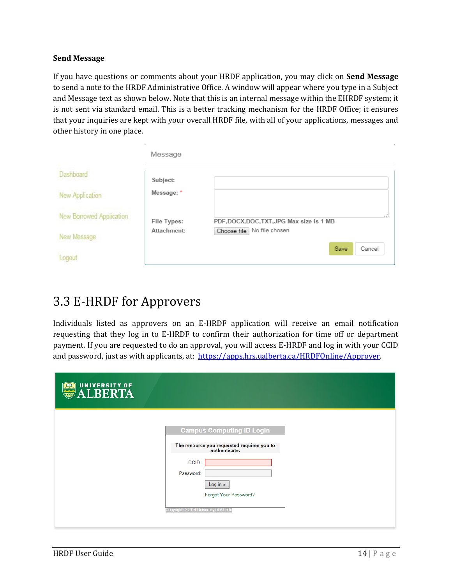#### **Send Message**

If you have questions or comments about your HRDF application, you may click on **Send Message** to send a note to the HRDF Administrative Office. A window will appear where you type in a Subject and Message text as shown below. Note that this is an internal message within the EHRDF system; it is not sent via standard email. This is a better tracking mechanism for the HRDF Office; it ensures that your inquiries are kept with your overall HRDF file, with all of your applications, messages and other history in one place.

|                          | Message     |                                           |
|--------------------------|-------------|-------------------------------------------|
| Dashboard                | Subject:    |                                           |
| New Application          | Message: *  |                                           |
| New Borrowed Application | File Types: | PDF, DOCX, DOC, TXT, JPG Max size is 1 MB |
| New Message              | Attachment: | Choose file No file chosen                |
| Logout                   |             | Save<br>Cancel                            |

### <span id="page-15-0"></span>3.3 E-HRDF for Approvers

Individuals listed as approvers on an E-HRDF application will receive an email notification requesting that they log in to E-HRDF to confirm their authorization for time off or department payment. If you are requested to do an approval, you will access E-HRDF and log in with your CCID and password, just as with applicants, at: [https://apps.hrs.ualberta.ca/HRDFOnline/Approver.](https://apps.hrs.ualberta.ca/HRDFOnline/Approver)

| <b>EN UNIVERSITY OF</b> |                                                                                                                                                                                                             |  |
|-------------------------|-------------------------------------------------------------------------------------------------------------------------------------------------------------------------------------------------------------|--|
|                         | <b>Campus Computing ID Login</b><br>The resource you requested requires you to<br>authenticate.<br>CCID:<br>Password:<br>Log in »<br><b>Forgot Your Password?</b><br>Copyright @ 2014 University of Alberta |  |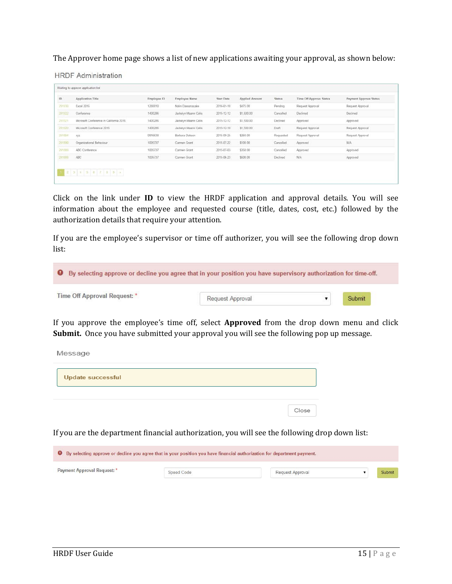The Approver home page shows a list of new applications awaiting your approval, as shown below:

**HRDF Administration** 

|         | Waiting to approve application list     |             |                      |            |                       |               |                         |                        |
|---------|-----------------------------------------|-------------|----------------------|------------|-----------------------|---------------|-------------------------|------------------------|
| ID      | <b>Application Title</b>                | Employee ID | Employee Name        | Start Date | <b>Applied Amount</b> | <b>Status</b> | Time Off Approve Status | Payment Approve Status |
| 2919.30 | Excel 2016                              | 1280010     | Nalin Dassanayake    | 2016-01-18 | \$475.00              | Pending       | Request Approval        | Request Approval       |
| 291922  | Conference                              | 1400286     | Jackelyn Maann Celis | 2015-12-12 | \$1,500.00            | Cancelled     | Declined                | Declined               |
| 291971  | Microsoft Conference in California 2016 | 1480286     | Jackelyn Maann Celis | 2015-12-12 | \$1,500.00            | Declined      | Approved                | Approved:              |
| 291920  | Microsoft Conference 2016               | 1400286     | Jackelyn Maann Celis | 2015-12-10 | \$1,500.00            | Draft         | Request Approval        | Request Approval       |
| 291884  | XYZ                                     | 0816638     | Barbara Dobson       | 2015-09-25 | \$260.00              | Requested     | Request Approval        | Request Approval       |
| 291990  | Organizational Behaviour                | 1005737     | Carmen Grant         | 2015-07-22 | \$100.00              | Cancelled     | Approved                | <b>N/A</b>             |
| 291889  | ABC Conference                          | 1005737     | Carmen Grant         | 2015-07-03 | \$350.00              | Cancelled     | Approved                | Approved               |
| 291888  | <b>ABC</b>                              | 1005737     | Carmen Grant         | 2015-06-23 | \$600.00              | Declined      | N/A                     | Approved               |

Click on the link under **ID** to view the HRDF application and approval details. You will see information about the employee and requested course (title, dates, cost, etc.) followed by the authorization details that require your attention.

If you are the employee's supervisor or time off authorizer, you will see the following drop down list:

| <sup>O</sup> By selecting approve or decline you agree that in your position you have supervisory authorization for time-off. |                  |  |        |  |
|-------------------------------------------------------------------------------------------------------------------------------|------------------|--|--------|--|
| Time Off Approval Request: *                                                                                                  | Request Approval |  | Submit |  |

If you approve the employee's time off, select **Approved** from the drop down menu and click **Submit.** Once you have submitted your approval you will see the following pop up message.

Message

| <b>Update successful</b> |  |       |
|--------------------------|--|-------|
|                          |  |       |
|                          |  | Close |

If you are the department financial authorization, you will see the following drop down list:

| <b>O</b> By selecting approve or decline you agree that in your position you have financial authorization for department payment. |            |                  |  |        |  |
|-----------------------------------------------------------------------------------------------------------------------------------|------------|------------------|--|--------|--|
| Payment Approval Request: *                                                                                                       | Speed Code | Request Approval |  | Submit |  |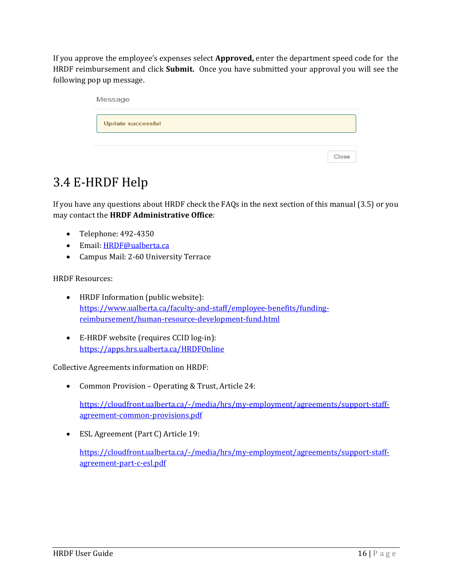If you approve the employee's expenses select **Approved,** enter the department speed code for the HRDF reimbursement and click **Submit.** Once you have submitted your approval you will see the following pop up message.

| Message                  |       |
|--------------------------|-------|
| <b>Update successful</b> |       |
|                          |       |
|                          | Close |

## <span id="page-17-0"></span>3.4 E-HRDF Help

If you have any questions about HRDF check the FAQs in the next section of this manual (3.5) or you may contact the **HRDF Administrative Office**:

- Telephone: 492-4350
- Email: [HRDF@ualberta.ca](mailto:HRDF@ualberta.ca)
- Campus Mail: 2-60 University Terrace

#### HRDF Resources:

- HRDF Information (public website): [https://www.ualberta.ca/faculty-and-staff/employee-benefits/funding](https://www.ualberta.ca/faculty-and-staff/employee-benefits/funding-reimbursement/human-resource-development-fund.html)[reimbursement/human-resource-development-fund.html](https://www.ualberta.ca/faculty-and-staff/employee-benefits/funding-reimbursement/human-resource-development-fund.html)
- E-HRDF website (requires CCID log-in): <https://apps.hrs.ualberta.ca/HRDFOnline>

Collective Agreements information on HRDF:

• Common Provision – Operating & Trust, Article 24:

[https://cloudfront.ualberta.ca/-/media/hrs/my-employment/agreements/support-staff](https://cloudfront.ualberta.ca/-/media/hrs/my-employment/agreements/support-staff-agreement-common-provisions.pdf)[agreement-common-provisions.pdf](https://cloudfront.ualberta.ca/-/media/hrs/my-employment/agreements/support-staff-agreement-common-provisions.pdf)

• ESL Agreement (Part C) Article 19:

[https://cloudfront.ualberta.ca/-/media/hrs/my-employment/agreements/support-staff](https://cloudfront.ualberta.ca/-/media/hrs/my-employment/agreements/support-staff-agreement-part-c-esl.pdf)[agreement-part-c-esl.pdf](https://cloudfront.ualberta.ca/-/media/hrs/my-employment/agreements/support-staff-agreement-part-c-esl.pdf)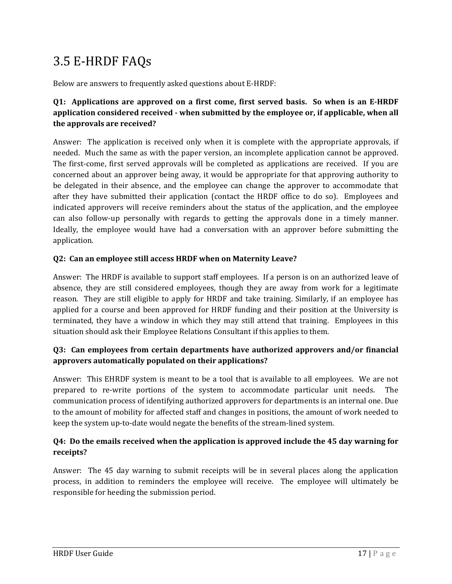## <span id="page-18-0"></span>3.5 E-HRDF FAQs

Below are answers to frequently asked questions about E-HRDF:

#### **Q1: Applications are approved on a first come, first served basis. So when is an E-HRDF application considered received - when submitted by the employee or, if applicable, when all the approvals are received?**

Answer: The application is received only when it is complete with the appropriate approvals, if needed. Much the same as with the paper version, an incomplete application cannot be approved. The first-come, first served approvals will be completed as applications are received. If you are concerned about an approver being away, it would be appropriate for that approving authority to be delegated in their absence, and the employee can change the approver to accommodate that after they have submitted their application (contact the HRDF office to do so). Employees and indicated approvers will receive reminders about the status of the application, and the employee can also follow-up personally with regards to getting the approvals done in a timely manner. Ideally, the employee would have had a conversation with an approver before submitting the application.

#### **Q2: Can an employee still access HRDF when on Maternity Leave?**

Answer: The HRDF is available to support staff employees. If a person is on an authorized leave of absence, they are still considered employees, though they are away from work for a legitimate reason. They are still eligible to apply for HRDF and take training. Similarly, if an employee has applied for a course and been approved for HRDF funding and their position at the University is terminated, they have a window in which they may still attend that training. Employees in this situation should ask their Employee Relations Consultant if this applies to them.

#### **Q3: Can employees from certain departments have authorized approvers and/or financial approvers automatically populated on their applications?**

Answer: This EHRDF system is meant to be a tool that is available to all employees. We are not prepared to re-write portions of the system to accommodate particular unit needs. The communication process of identifying authorized approvers for departments is an internal one. Due to the amount of mobility for affected staff and changes in positions, the amount of work needed to keep the system up-to-date would negate the benefits of the stream-lined system.

#### **Q4: Do the emails received when the application is approved include the 45 day warning for receipts?**

Answer: The 45 day warning to submit receipts will be in several places along the application process, in addition to reminders the employee will receive. The employee will ultimately be responsible for heeding the submission period.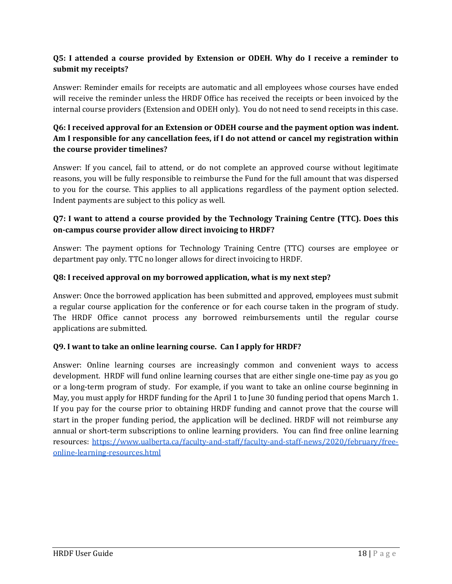#### **Q5: I attended a course provided by Extension or ODEH. Why do I receive a reminder to submit my receipts?**

Answer: Reminder emails for receipts are automatic and all employees whose courses have ended will receive the reminder unless the HRDF Office has received the receipts or been invoiced by the internal course providers (Extension and ODEH only). You do not need to send receipts in this case.

#### **Q6: I received approval for an Extension or ODEH course and the payment option was indent. Am I responsible for any cancellation fees, if I do not attend or cancel my registration within the course provider timelines?**

Answer: If you cancel, fail to attend, or do not complete an approved course without legitimate reasons, you will be fully responsible to reimburse the Fund for the full amount that was dispersed to you for the course. This applies to all applications regardless of the payment option selected. Indent payments are subject to this policy as well.

#### **Q7: I want to attend a course provided by the Technology Training Centre (TTC). Does this on-campus course provider allow direct invoicing to HRDF?**

Answer: The payment options for Technology Training Centre (TTC) courses are employee or department pay only. TTC no longer allows for direct invoicing to HRDF.

#### **Q8: I received approval on my borrowed application, what is my next step?**

Answer: Once the borrowed application has been submitted and approved, employees must submit a regular course application for the conference or for each course taken in the program of study. The HRDF Office cannot process any borrowed reimbursements until the regular course applications are submitted.

#### **Q9. I want to take an online learning course. Can I apply for HRDF?**

Answer: Online learning courses are increasingly common and convenient ways to access development. HRDF will fund online learning courses that are either single one-time pay as you go or a long-term program of study. For example, if you want to take an online course beginning in May, you must apply for HRDF funding for the April 1 to June 30 funding period that opens March 1. If you pay for the course prior to obtaining HRDF funding and cannot prove that the course will start in the proper funding period, the application will be declined. HRDF will not reimburse any annual or short-term subscriptions to online learning providers. You can find free online learning resources: [https://www.ualberta.ca/faculty-and-staff/faculty-and-staff-news/2020/february/free](https://www.ualberta.ca/faculty-and-staff/faculty-and-staff-news/2020/february/free-online-learning-resources.html)[online-learning-resources.html](https://www.ualberta.ca/faculty-and-staff/faculty-and-staff-news/2020/february/free-online-learning-resources.html)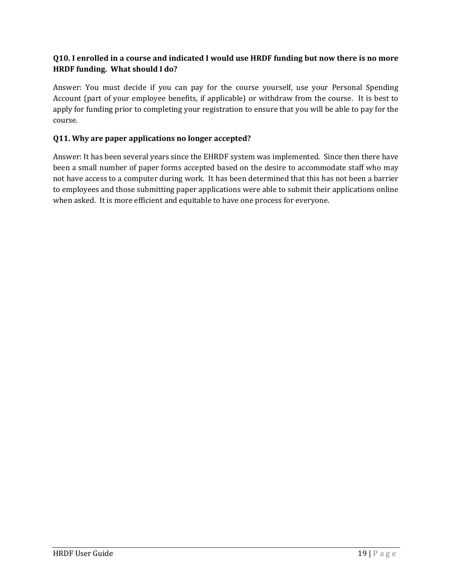#### **Q10. I enrolled in a course and indicated I would use HRDF funding but now there is no more HRDF funding. What should I do?**

Answer: You must decide if you can pay for the course yourself, use your Personal Spending Account (part of your employee benefits, if applicable) or withdraw from the course. It is best to apply for funding prior to completing your registration to ensure that you will be able to pay for the course.

#### **Q11. Why are paper applications no longer accepted?**

Answer: It has been several years since the EHRDF system was implemented. Since then there have been a small number of paper forms accepted based on the desire to accommodate staff who may not have access to a computer during work. It has been determined that this has not been a barrier to employees and those submitting paper applications were able to submit their applications online when asked. It is more efficient and equitable to have one process for everyone.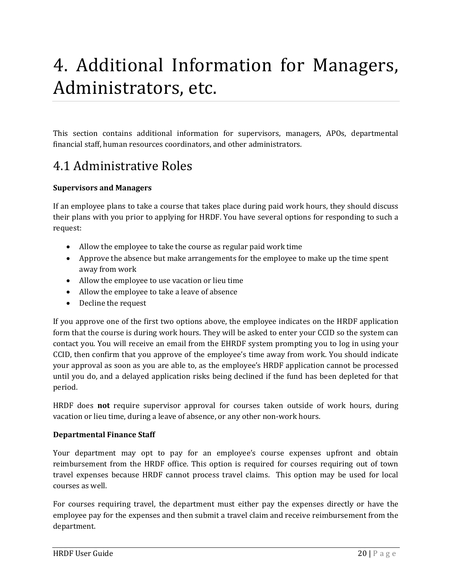# <span id="page-21-0"></span>4. Additional Information for Managers, Administrators, etc.

This section contains additional information for supervisors, managers, APOs, departmental financial staff, human resources coordinators, and other administrators.

### <span id="page-21-1"></span>4.1 Administrative Roles

#### **Supervisors and Managers**

If an employee plans to take a course that takes place during paid work hours, they should discuss their plans with you prior to applying for HRDF. You have several options for responding to such a request:

- Allow the employee to take the course as regular paid work time
- Approve the absence but make arrangements for the employee to make up the time spent away from work
- Allow the employee to use vacation or lieu time
- Allow the employee to take a leave of absence
- Decline the request

If you approve one of the first two options above, the employee indicates on the HRDF application form that the course is during work hours. They will be asked to enter your CCID so the system can contact you. You will receive an email from the EHRDF system prompting you to log in using your CCID, then confirm that you approve of the employee's time away from work. You should indicate your approval as soon as you are able to, as the employee's HRDF application cannot be processed until you do, and a delayed application risks being declined if the fund has been depleted for that period.

HRDF does **not** require supervisor approval for courses taken outside of work hours, during vacation or lieu time, during a leave of absence, or any other non-work hours.

#### **Departmental Finance Staff**

Your department may opt to pay for an employee's course expenses upfront and obtain reimbursement from the HRDF office. This option is required for courses requiring out of town travel expenses because HRDF cannot process travel claims. This option may be used for local courses as well.

For courses requiring travel, the department must either pay the expenses directly or have the employee pay for the expenses and then submit a travel claim and receive reimbursement from the department.